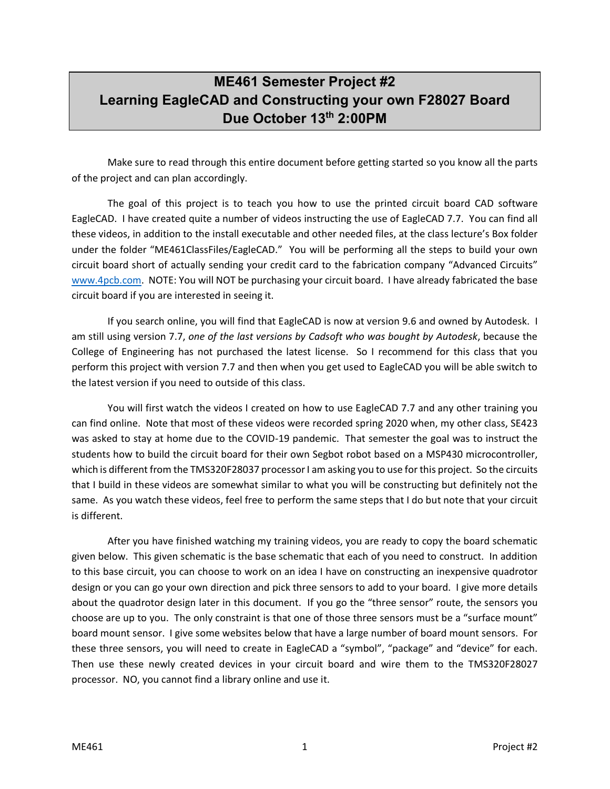# **ME461 Semester Project #2 Learning EagleCAD and Constructing your own F28027 Board Due October 13th 2:00PM**

Make sure to read through this entire document before getting started so you know all the parts of the project and can plan accordingly.

The goal of this project is to teach you how to use the printed circuit board CAD software EagleCAD. I have created quite a number of videos instructing the use of EagleCAD 7.7. You can find all these videos, in addition to the install executable and other needed files, at the class lecture's Box folder under the folder "ME461ClassFiles/EagleCAD." You will be performing all the steps to build your own circuit board short of actually sending your credit card to the fabrication company "Advanced Circuits" [www.4pcb.com.](http://www.4pcb.com/) NOTE: You will NOT be purchasing your circuit board. I have already fabricated the base circuit board if you are interested in seeing it.

If you search online, you will find that EagleCAD is now at version 9.6 and owned by Autodesk. I am still using version 7.7, *one of the last versions by Cadsoft who was bought by Autodesk*, because the College of Engineering has not purchased the latest license. So I recommend for this class that you perform this project with version 7.7 and then when you get used to EagleCAD you will be able switch to the latest version if you need to outside of this class.

You will first watch the videos I created on how to use EagleCAD 7.7 and any other training you can find online. Note that most of these videos were recorded spring 2020 when, my other class, SE423 was asked to stay at home due to the COVID-19 pandemic. That semester the goal was to instruct the students how to build the circuit board for their own Segbot robot based on a MSP430 microcontroller, which is different from the TMS320F28037 processor I am asking you to use for this project. So the circuits that I build in these videos are somewhat similar to what you will be constructing but definitely not the same. As you watch these videos, feel free to perform the same steps that I do but note that your circuit is different.

After you have finished watching my training videos, you are ready to copy the board schematic given below. This given schematic is the base schematic that each of you need to construct. In addition to this base circuit, you can choose to work on an idea I have on constructing an inexpensive quadrotor design or you can go your own direction and pick three sensors to add to your board. I give more details about the quadrotor design later in this document. If you go the "three sensor" route, the sensors you choose are up to you. The only constraint is that one of those three sensors must be a "surface mount" board mount sensor. I give some websites below that have a large number of board mount sensors. For these three sensors, you will need to create in EagleCAD a "symbol", "package" and "device" for each. Then use these newly created devices in your circuit board and wire them to the TMS320F28027 processor. NO, you cannot find a library online and use it.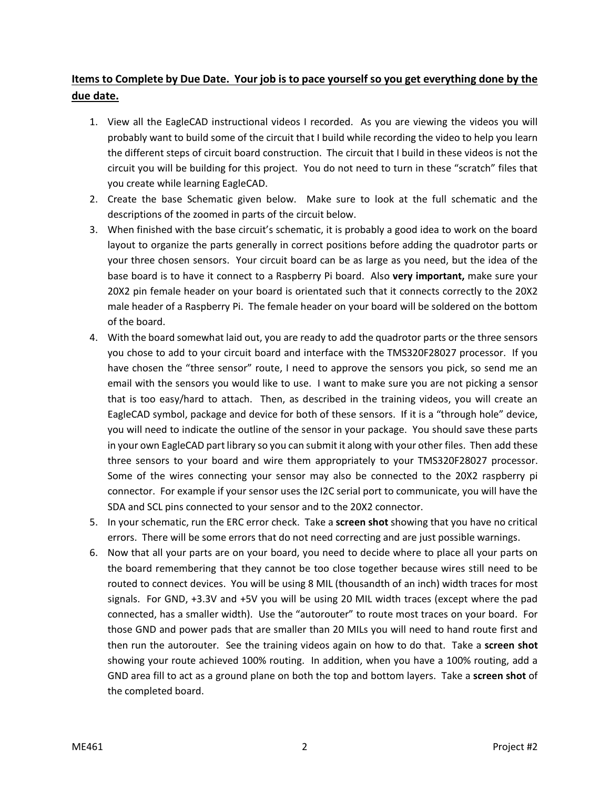## **Items to Complete by Due Date. Your job is to pace yourself so you get everything done by the due date.**

- 1. View all the EagleCAD instructional videos I recorded. As you are viewing the videos you will probably want to build some of the circuit that I build while recording the video to help you learn the different steps of circuit board construction. The circuit that I build in these videos is not the circuit you will be building for this project. You do not need to turn in these "scratch" files that you create while learning EagleCAD.
- 2. Create the base Schematic given below. Make sure to look at the full schematic and the descriptions of the zoomed in parts of the circuit below.
- 3. When finished with the base circuit's schematic, it is probably a good idea to work on the board layout to organize the parts generally in correct positions before adding the quadrotor parts or your three chosen sensors. Your circuit board can be as large as you need, but the idea of the base board is to have it connect to a Raspberry Pi board. Also **very important,** make sure your 20X2 pin female header on your board is orientated such that it connects correctly to the 20X2 male header of a Raspberry Pi. The female header on your board will be soldered on the bottom of the board.
- 4. With the board somewhat laid out, you are ready to add the quadrotor parts or the three sensors you chose to add to your circuit board and interface with the TMS320F28027 processor. If you have chosen the "three sensor" route, I need to approve the sensors you pick, so send me an email with the sensors you would like to use. I want to make sure you are not picking a sensor that is too easy/hard to attach. Then, as described in the training videos, you will create an EagleCAD symbol, package and device for both of these sensors. If it is a "through hole" device, you will need to indicate the outline of the sensor in your package. You should save these parts in your own EagleCAD part library so you can submit it along with your other files. Then add these three sensors to your board and wire them appropriately to your TMS320F28027 processor. Some of the wires connecting your sensor may also be connected to the 20X2 raspberry pi connector. For example if your sensor uses the I2C serial port to communicate, you will have the SDA and SCL pins connected to your sensor and to the 20X2 connector.
- 5. In your schematic, run the ERC error check. Take a **screen shot** showing that you have no critical errors. There will be some errors that do not need correcting and are just possible warnings.
- 6. Now that all your parts are on your board, you need to decide where to place all your parts on the board remembering that they cannot be too close together because wires still need to be routed to connect devices. You will be using 8 MIL (thousandth of an inch) width traces for most signals. For GND, +3.3V and +5V you will be using 20 MIL width traces (except where the pad connected, has a smaller width). Use the "autorouter" to route most traces on your board. For those GND and power pads that are smaller than 20 MILs you will need to hand route first and then run the autorouter. See the training videos again on how to do that. Take a **screen shot** showing your route achieved 100% routing. In addition, when you have a 100% routing, add a GND area fill to act as a ground plane on both the top and bottom layers. Take a **screen shot** of the completed board.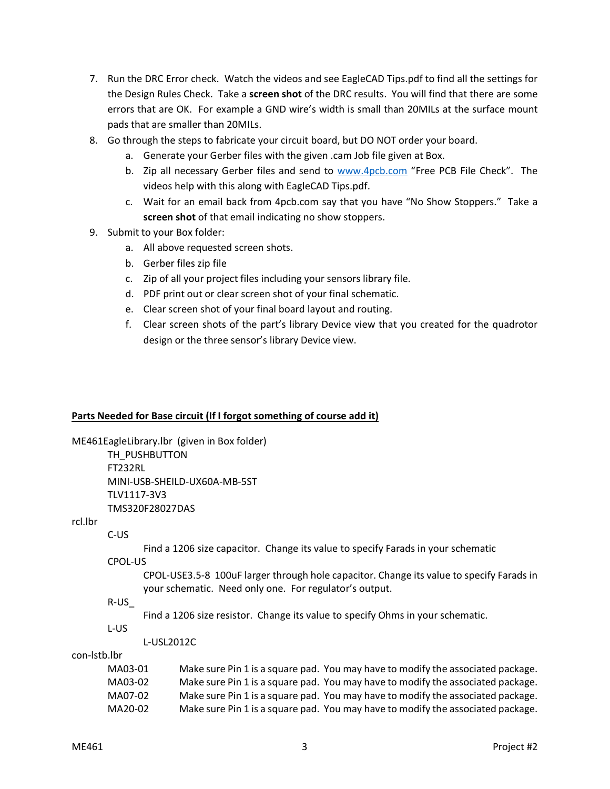- 7. Run the DRC Error check. Watch the videos and see EagleCAD Tips.pdf to find all the settings for the Design Rules Check. Take a **screen shot** of the DRC results. You will find that there are some errors that are OK. For example a GND wire's width is small than 20MILs at the surface mount pads that are smaller than 20MILs.
- 8. Go through the steps to fabricate your circuit board, but DO NOT order your board.
	- a. Generate your Gerber files with the given .cam Job file given at Box.
	- b. Zip all necessary Gerber files and send to [www.4pcb.com](http://www.4pcb.com/) "Free PCB File Check". The videos help with this along with EagleCAD Tips.pdf.
	- c. Wait for an email back from 4pcb.com say that you have "No Show Stoppers." Take a **screen shot** of that email indicating no show stoppers.
- 9. Submit to your Box folder:
	- a. All above requested screen shots.
	- b. Gerber files zip file
	- c. Zip of all your project files including your sensors library file.
	- d. PDF print out or clear screen shot of your final schematic.
	- e. Clear screen shot of your final board layout and routing.
	- f. Clear screen shots of the part's library Device view that you created for the quadrotor design or the three sensor's library Device view.

### **Parts Needed for Base circuit (If I forgot something of course add it)**

ME461EagleLibrary.lbr (given in Box folder)

TH\_PUSHBUTTON FT232RL MINI-USB-SHEILD-UX60A-MB-5ST TLV1117-3V3 TMS320F28027DAS

rcl.lbr

C-US

Find a 1206 size capacitor. Change its value to specify Farads in your schematic

CPOL-US

CPOL-USE3.5-8 100uF larger through hole capacitor. Change its value to specify Farads in your schematic. Need only one. For regulator's output.

R-US\_

Find a 1206 size resistor. Change its value to specify Ohms in your schematic.

L-US

L-USL2012C

con-lstb.lbr

| MA03-01 | Make sure Pin 1 is a square pad. You may have to modify the associated package. |
|---------|---------------------------------------------------------------------------------|
| MA03-02 | Make sure Pin 1 is a square pad. You may have to modify the associated package. |
| MA07-02 | Make sure Pin 1 is a square pad. You may have to modify the associated package. |
| MA20-02 | Make sure Pin 1 is a square pad. You may have to modify the associated package. |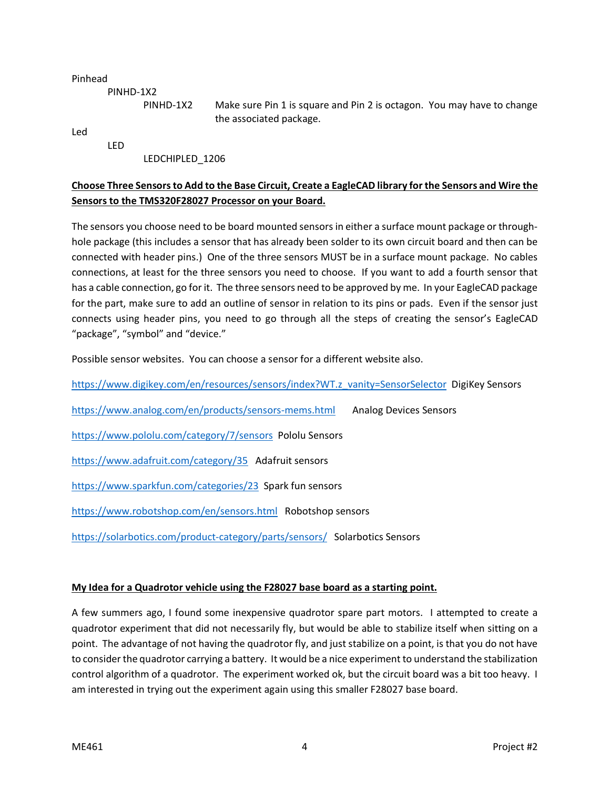Pinhead

PINHD-1X2

LED

PINHD-1X2 Make sure Pin 1 is square and Pin 2 is octagon. You may have to change the associated package.

Led

LEDCHIPLED\_1206

## **Choose Three Sensors to Add to the Base Circuit, Create a EagleCAD library for the Sensors and Wire the Sensors to the TMS320F28027 Processor on your Board.**

The sensors you choose need to be board mounted sensorsin either a surface mount package or throughhole package (this includes a sensor that has already been solder to its own circuit board and then can be connected with header pins.) One of the three sensors MUST be in a surface mount package. No cables connections, at least for the three sensors you need to choose. If you want to add a fourth sensor that has a cable connection, go for it. The three sensors need to be approved by me. In your EagleCAD package for the part, make sure to add an outline of sensor in relation to its pins or pads. Even if the sensor just connects using header pins, you need to go through all the steps of creating the sensor's EagleCAD "package", "symbol" and "device."

Possible sensor websites. You can choose a sensor for a different website also.

[https://www.digikey.com/en/resources/sensors/index?WT.z\\_vanity=SensorSelector](https://www.digikey.com/en/resources/sensors/index?WT.z_vanity=SensorSelector) DigiKey Sensors

<https://www.analog.com/en/products/sensors-mems.html>Analog Devices Sensors

<https://www.pololu.com/category/7/sensors>Pololu Sensors

<https://www.adafruit.com/category/35>Adafruit sensors

<https://www.sparkfun.com/categories/23>Spark fun sensors

<https://www.robotshop.com/en/sensors.html>Robotshop sensors

<https://solarbotics.com/product-category/parts/sensors/>Solarbotics Sensors

### **My Idea for a Quadrotor vehicle using the F28027 base board as a starting point.**

A few summers ago, I found some inexpensive quadrotor spare part motors. I attempted to create a quadrotor experiment that did not necessarily fly, but would be able to stabilize itself when sitting on a point. The advantage of not having the quadrotor fly, and just stabilize on a point, is that you do not have to consider the quadrotor carrying a battery. It would be a nice experiment to understand the stabilization control algorithm of a quadrotor. The experiment worked ok, but the circuit board was a bit too heavy. I am interested in trying out the experiment again using this smaller F28027 base board.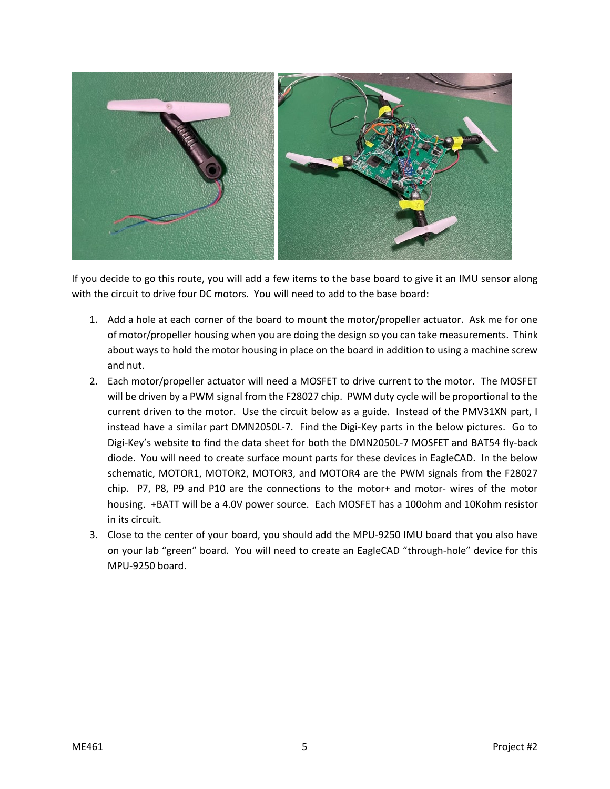

If you decide to go this route, you will add a few items to the base board to give it an IMU sensor along with the circuit to drive four DC motors. You will need to add to the base board:

- 1. Add a hole at each corner of the board to mount the motor/propeller actuator. Ask me for one of motor/propeller housing when you are doing the design so you can take measurements. Think about ways to hold the motor housing in place on the board in addition to using a machine screw and nut.
- 2. Each motor/propeller actuator will need a MOSFET to drive current to the motor. The MOSFET will be driven by a PWM signal from the F28027 chip. PWM duty cycle will be proportional to the current driven to the motor. Use the circuit below as a guide. Instead of the PMV31XN part, I instead have a similar part DMN2050L-7. Find the Digi-Key parts in the below pictures. Go to Digi-Key's website to find the data sheet for both the DMN2050L-7 MOSFET and BAT54 fly-back diode. You will need to create surface mount parts for these devices in EagleCAD. In the below schematic, MOTOR1, MOTOR2, MOTOR3, and MOTOR4 are the PWM signals from the F28027 chip. P7, P8, P9 and P10 are the connections to the motor+ and motor- wires of the motor housing. +BATT will be a 4.0V power source. Each MOSFET has a 100ohm and 10Kohm resistor in its circuit.
- 3. Close to the center of your board, you should add the MPU-9250 IMU board that you also have on your lab "green" board. You will need to create an EagleCAD "through-hole" device for this MPU-9250 board.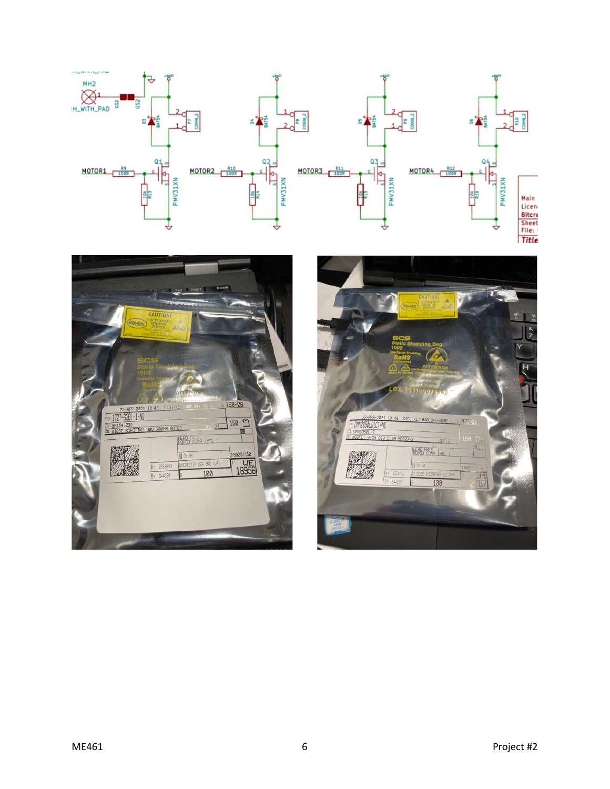





 $\overline{\phantom{a}}$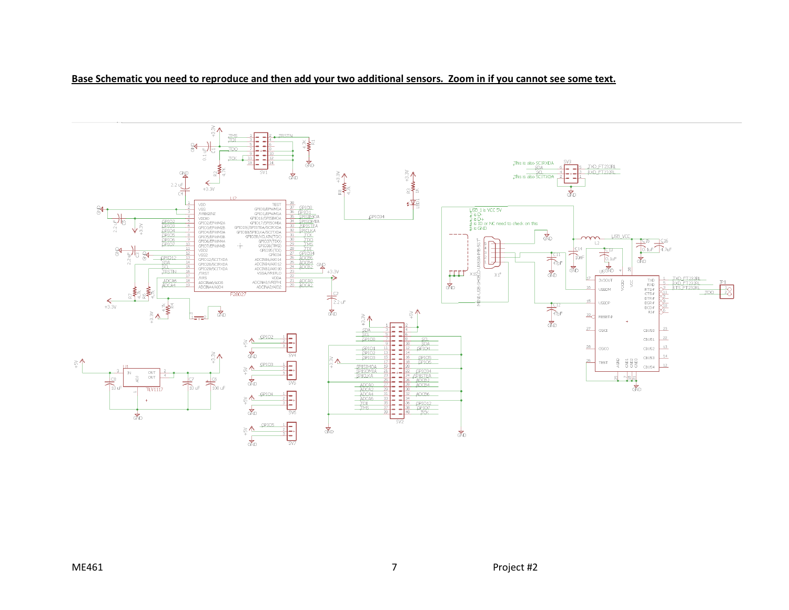

## **Base Schematic you need to reproduce and then add your two additional sensors. Zoom in if you cannot see some text.**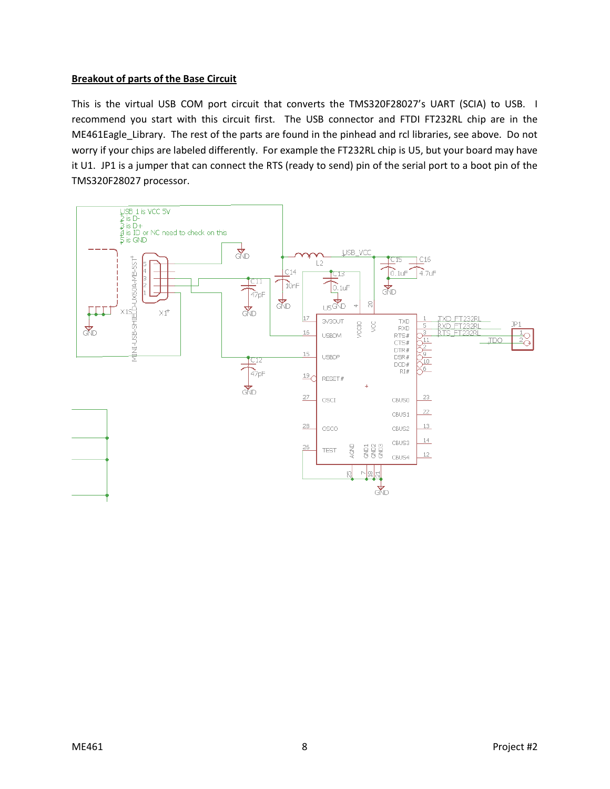## **Breakout of parts of the Base Circuit**

This is the virtual USB COM port circuit that converts the TMS320F28027's UART (SCIA) to USB. I recommend you start with this circuit first. The USB connector and FTDI FT232RL chip are in the ME461Eagle\_Library. The rest of the parts are found in the pinhead and rcl libraries, see above. Do not worry if your chips are labeled differently. For example the FT232RL chip is U5, but your board may have it U1. JP1 is a jumper that can connect the RTS (ready to send) pin of the serial port to a boot pin of the TMS320F28027 processor.

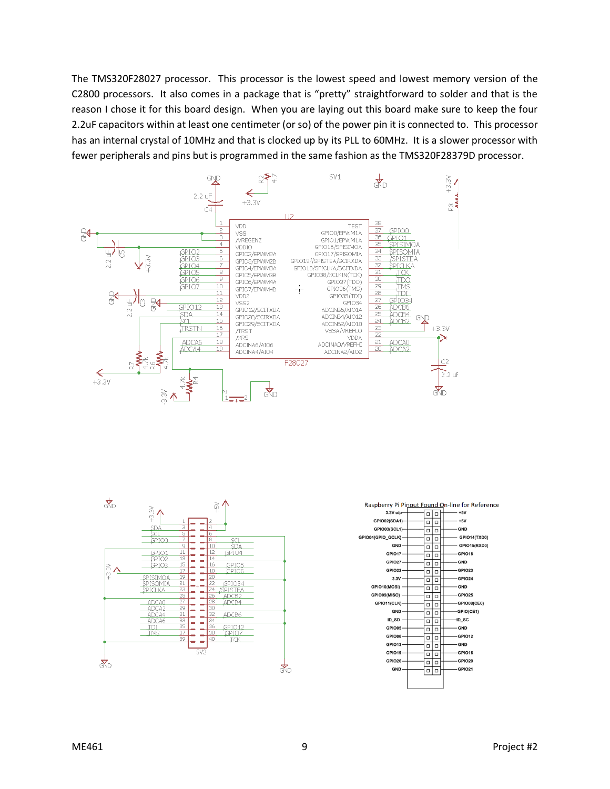The TMS320F28027 processor. This processor is the lowest speed and lowest memory version of the C2800 processors. It also comes in a package that is "pretty" straightforward to solder and that is the reason I chose it for this board design. When you are laying out this board make sure to keep the four 2.2uF capacitors within at least one centimeter (or so) of the power pin it is connected to. This processor has an internal crystal of 10MHz and that is clocked up by its PLL to 60MHz. It is a slower processor with fewer peripherals and pins but is programmed in the same fashion as the TMS320F28379D processor.



![](_page_8_Figure_2.jpeg)

![](_page_8_Figure_3.jpeg)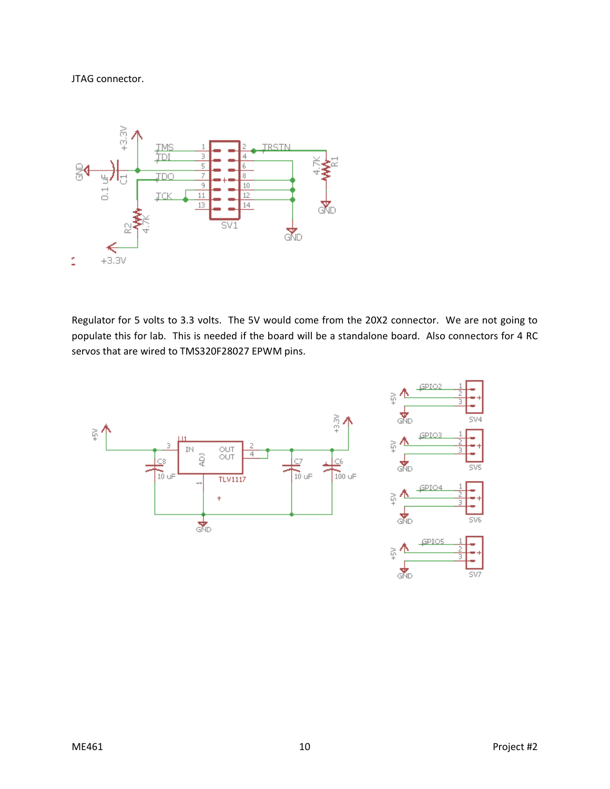JTAG connector.

![](_page_9_Figure_1.jpeg)

Regulator for 5 volts to 3.3 volts. The 5V would come from the 20X2 connector. We are not going to populate this for lab. This is needed if the board will be a standalone board. Also connectors for 4 RC servos that are wired to TMS320F28027 EPWM pins.

![](_page_9_Figure_3.jpeg)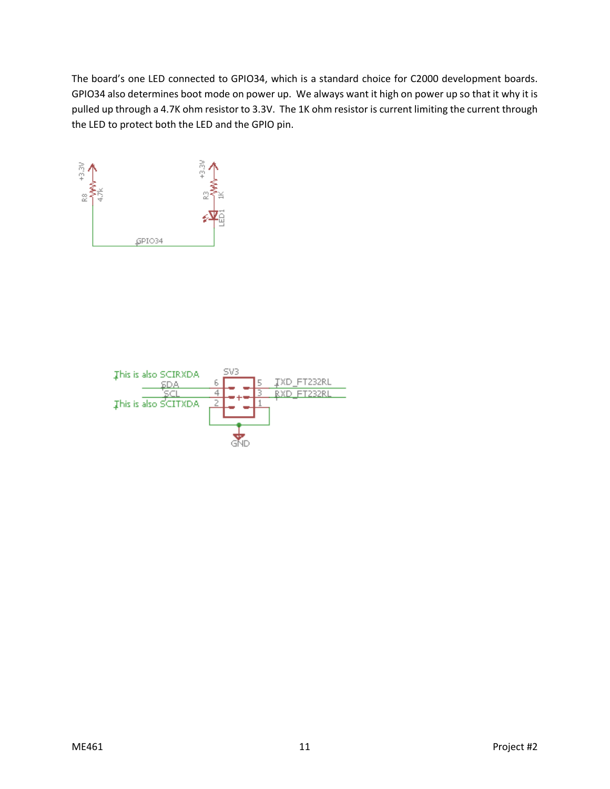The board's one LED connected to GPIO34, which is a standard choice for C2000 development boards. GPIO34 also determines boot mode on power up. We always want it high on power up so that it why it is pulled up through a 4.7K ohm resistor to 3.3V. The 1K ohm resistor is current limiting the current through the LED to protect both the LED and the GPIO pin.

![](_page_10_Figure_1.jpeg)

![](_page_10_Figure_2.jpeg)